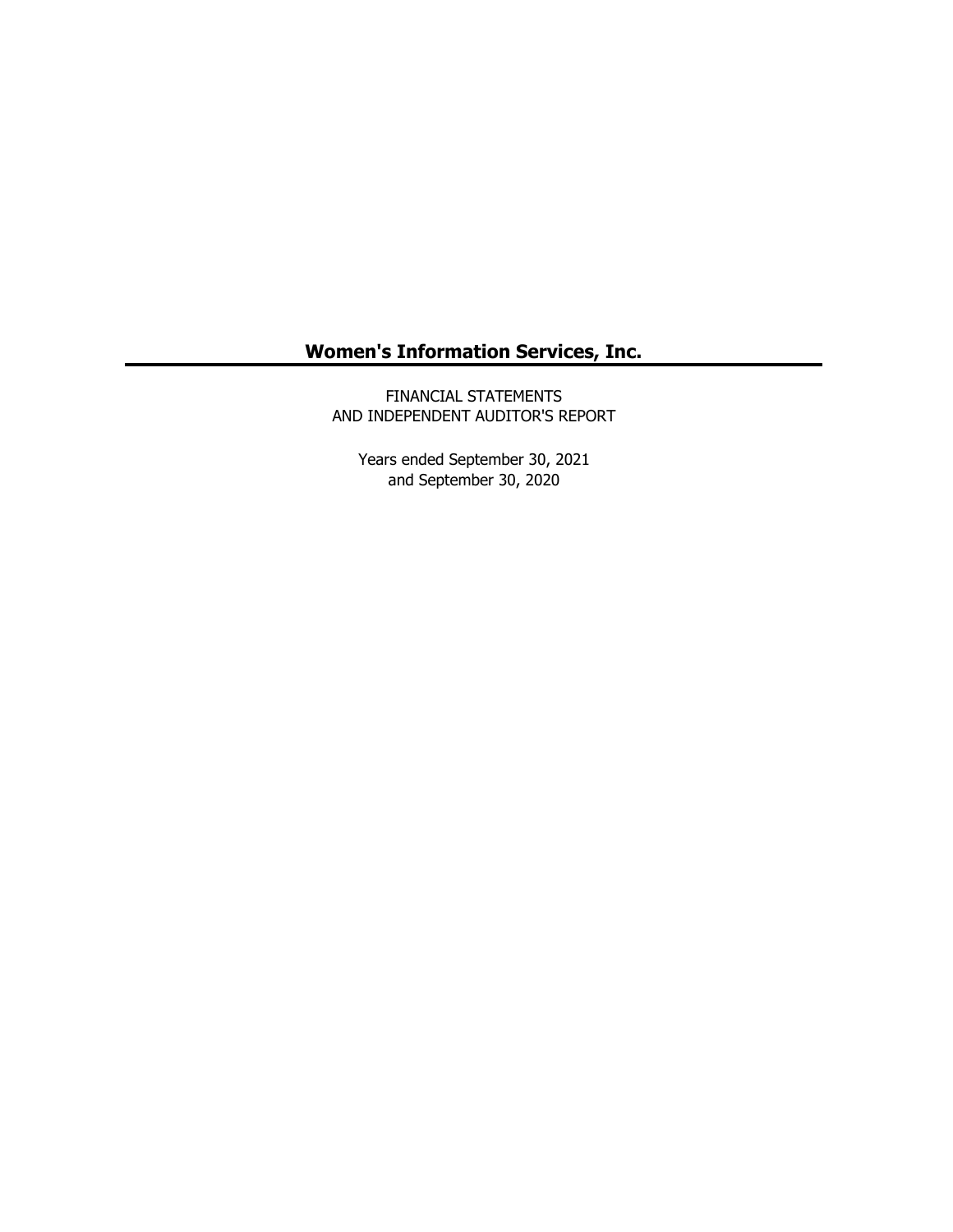FINANCIAL STATEMENTS AND INDEPENDENT AUDITOR'S REPORT

Years ended September 30, 2021 and September 30, 2020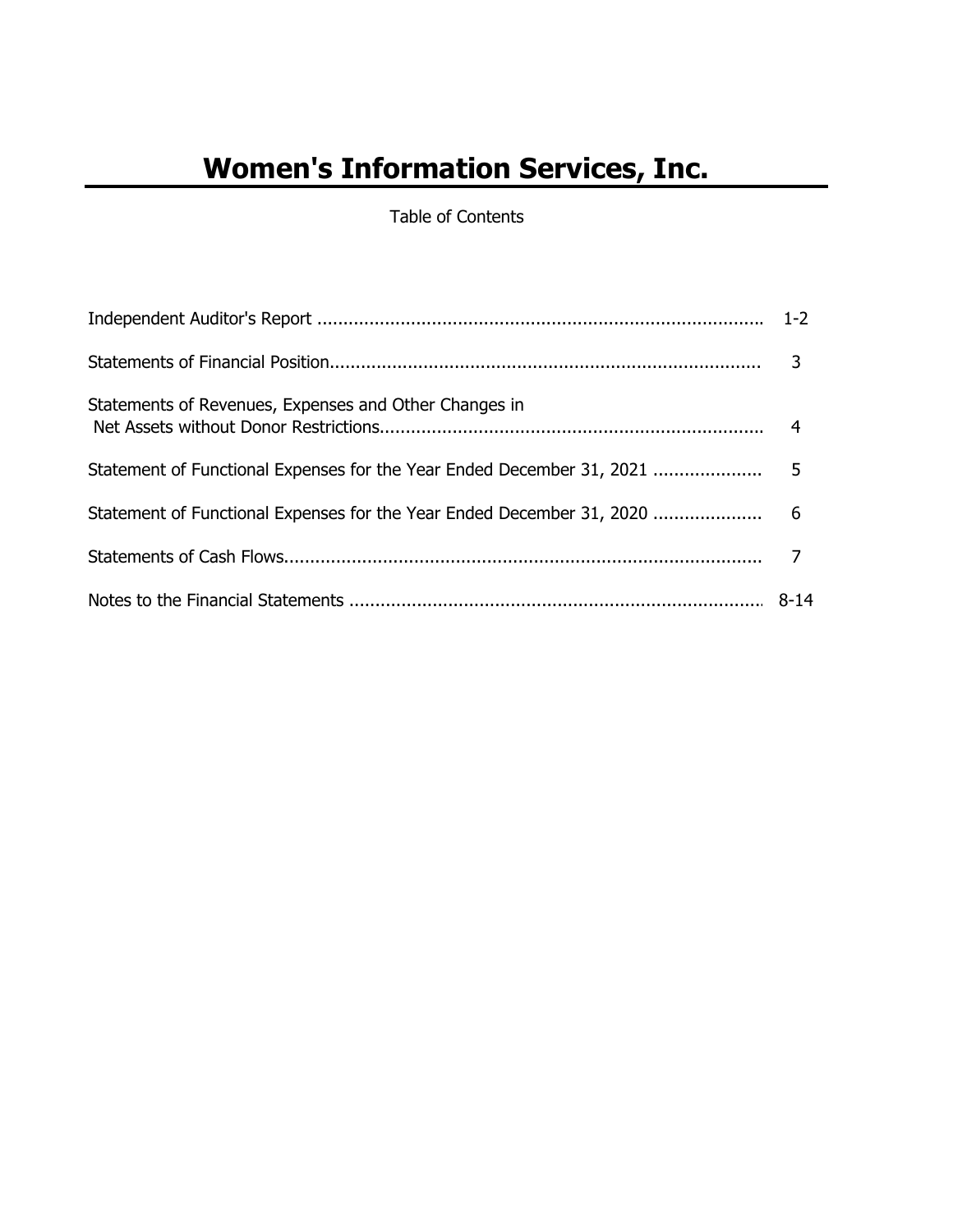Table of Contents

|                                                       | $1 - 2$ |
|-------------------------------------------------------|---------|
|                                                       |         |
| Statements of Revenues, Expenses and Other Changes in |         |
|                                                       |         |
|                                                       |         |
|                                                       |         |
|                                                       |         |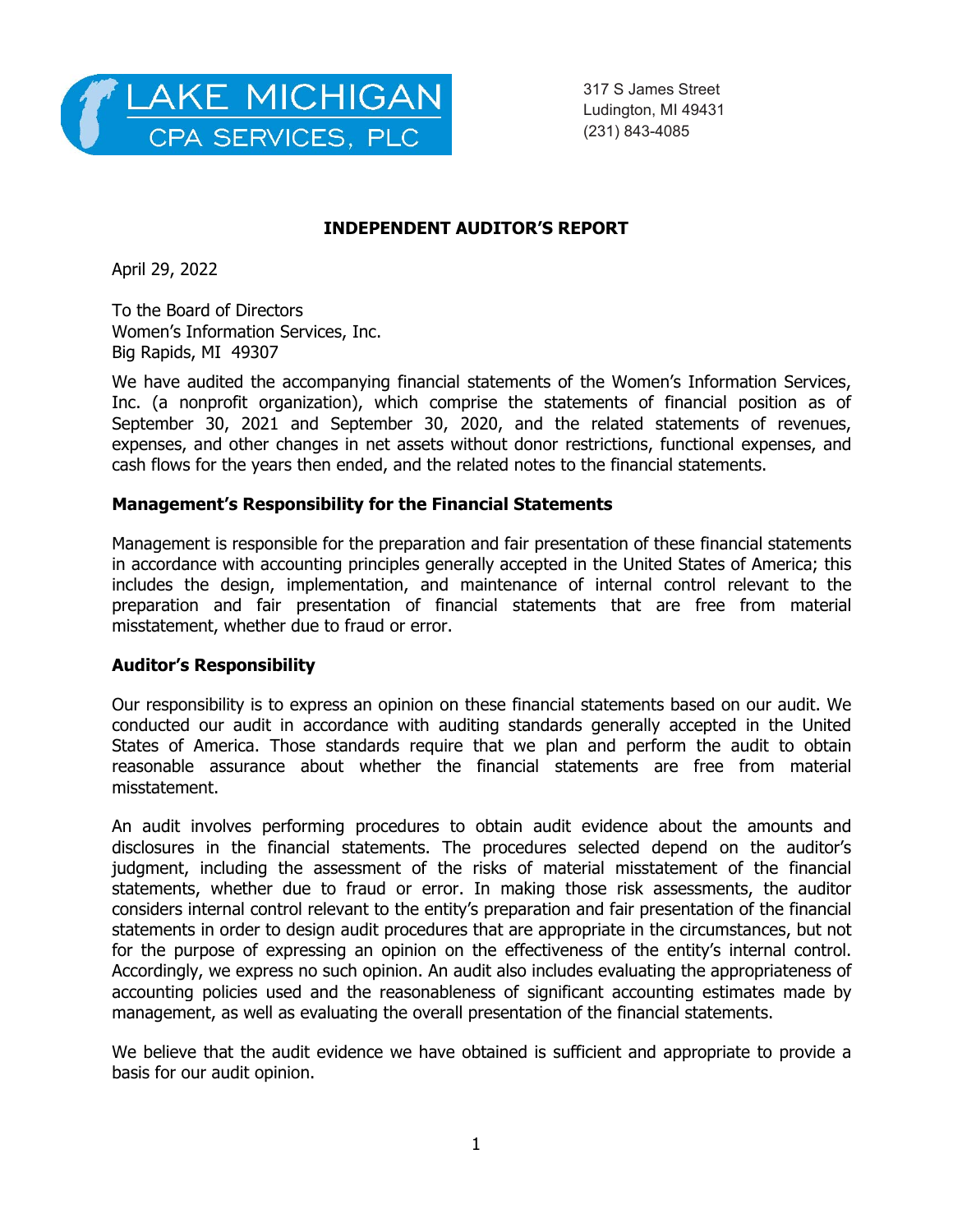

317 S James Street Ludington, MI 49431 (231) 843-4085

#### **INDEPENDENT AUDITOR'S REPORT**

April 29, 2022

To the Board of Directors Women's Information Services, Inc. Big Rapids, MI 49307

We have audited the accompanying financial statements of the Women's Information Services, Inc. (a nonprofit organization), which comprise the statements of financial position as of September 30, 2021 and September 30, 2020, and the related statements of revenues, expenses, and other changes in net assets without donor restrictions, functional expenses, and cash flows for the years then ended, and the related notes to the financial statements.

#### **Management's Responsibility for the Financial Statements**

Management is responsible for the preparation and fair presentation of these financial statements in accordance with accounting principles generally accepted in the United States of America; this includes the design, implementation, and maintenance of internal control relevant to the preparation and fair presentation of financial statements that are free from material misstatement, whether due to fraud or error.

#### **Auditor's Responsibility**

Our responsibility is to express an opinion on these financial statements based on our audit. We conducted our audit in accordance with auditing standards generally accepted in the United States of America. Those standards require that we plan and perform the audit to obtain reasonable assurance about whether the financial statements are free from material misstatement.

An audit involves performing procedures to obtain audit evidence about the amounts and disclosures in the financial statements. The procedures selected depend on the auditor's judgment, including the assessment of the risks of material misstatement of the financial statements, whether due to fraud or error. In making those risk assessments, the auditor considers internal control relevant to the entity's preparation and fair presentation of the financial statements in order to design audit procedures that are appropriate in the circumstances, but not for the purpose of expressing an opinion on the effectiveness of the entity's internal control. Accordingly, we express no such opinion. An audit also includes evaluating the appropriateness of accounting policies used and the reasonableness of significant accounting estimates made by management, as well as evaluating the overall presentation of the financial statements.

We believe that the audit evidence we have obtained is sufficient and appropriate to provide a basis for our audit opinion.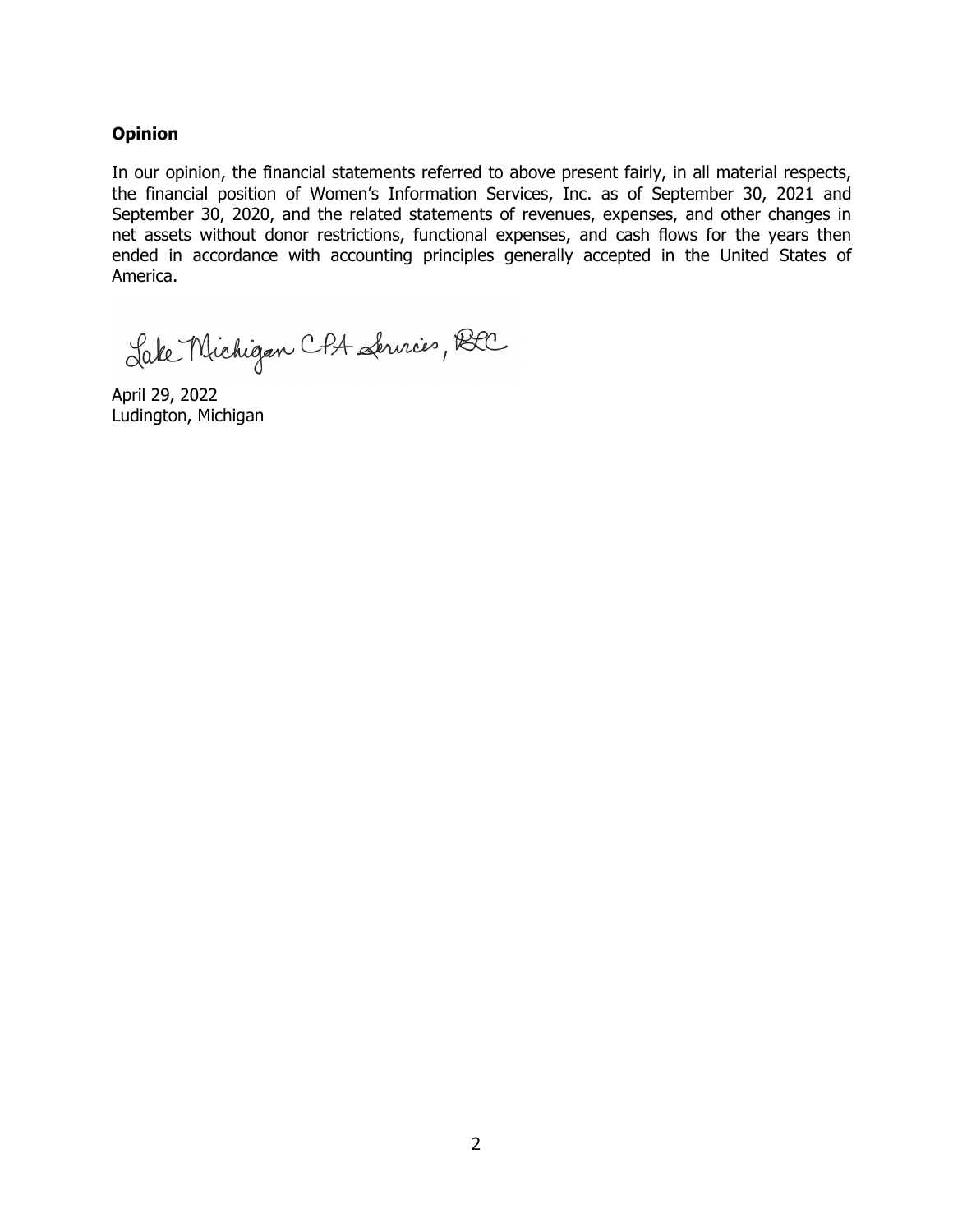#### **Opinion**

In our opinion, the financial statements referred to above present fairly, in all material respects, the financial position of Women's Information Services, Inc. as of September 30, 2021 and September 30, 2020, and the related statements of revenues, expenses, and other changes in net assets without donor restrictions, functional expenses, and cash flows for the years then ended in accordance with accounting principles generally accepted in the United States of America.

Lake Michigan CPA Lerinies, BEC

April 29, 2022 Ludington, Michigan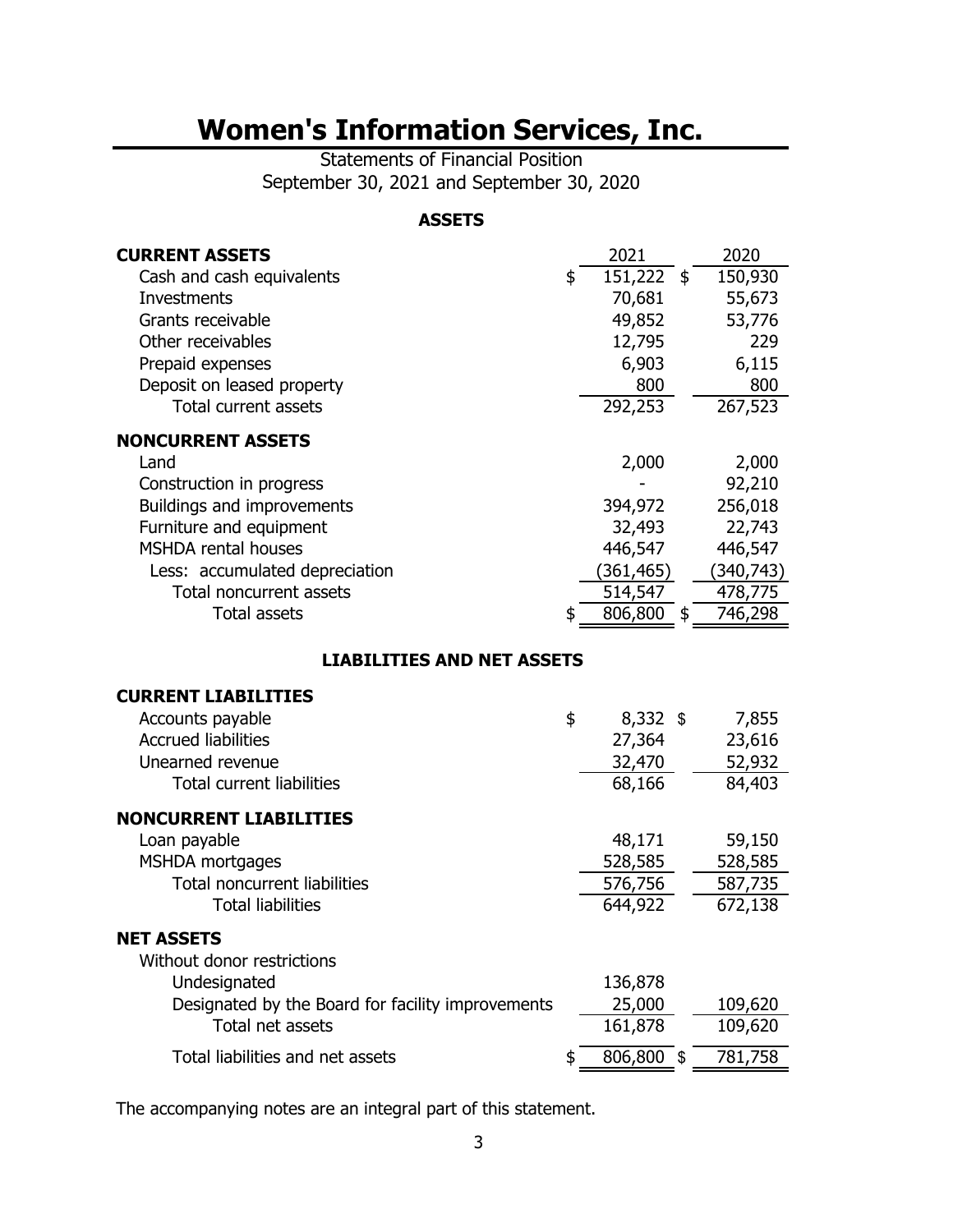Statements of Financial Position September 30, 2021 and September 30, 2020

#### **ASSETS**

| <b>CURRENT ASSETS</b>               | 2021             | 2020          |
|-------------------------------------|------------------|---------------|
| Cash and cash equivalents           | \$<br>151,222 \$ | 150,930       |
| <b>Investments</b>                  | 70,681           | 55,673        |
| Grants receivable                   | 49,852           | 53,776        |
| Other receivables                   | 12,795           | 229           |
| Prepaid expenses                    | 6,903            | 6,115         |
| Deposit on leased property          | 800              | 800           |
| <b>Total current assets</b>         | 292,253          | 267,523       |
| <b>NONCURRENT ASSETS</b>            |                  |               |
| Land                                | 2,000            | 2,000         |
| Construction in progress            |                  | 92,210        |
| Buildings and improvements          | 394,972          | 256,018       |
| Furniture and equipment             | 32,493           | 22,743        |
| <b>MSHDA rental houses</b>          | 446,547          | 446,547       |
| Less: accumulated depreciation      | (361,465)        | (340,743)     |
| <b>Total noncurrent assets</b>      | 514,547          | 478,775       |
| <b>Total assets</b>                 | \$<br>806,800    | \$<br>746,298 |
| <b>LIABILITIES AND NET ASSETS</b>   |                  |               |
| <b>CURRENT LIABILITIES</b>          |                  |               |
| Accounts payable                    | \$<br>8,332 \$   | 7,855         |
| <b>Accrued liabilities</b>          | 27,364           | 23,616        |
| Unearned revenue                    | 32,470           | 52,932        |
| <b>Total current liabilities</b>    | 68,166           | 84,403        |
| <b>NONCURRENT LIABILITIES</b>       |                  |               |
| Loan payable                        | 48,171           | 59,150        |
| <b>MSHDA</b> mortgages              | 528,585          | 528,585       |
| <b>Total noncurrent liabilities</b> | 576,756          | 587,735       |
| <b>Total liabilities</b>            | 644,922          | 672,138       |

#### **NET ASSETS**

| Without donor restrictions                        |            |         |
|---------------------------------------------------|------------|---------|
| Undesignated                                      | 136,878    |         |
| Designated by the Board for facility improvements | 25,000     | 109,620 |
| Total net assets                                  | 161,878    | 109,620 |
| Total liabilities and net assets                  | 806,800 \$ | 781,758 |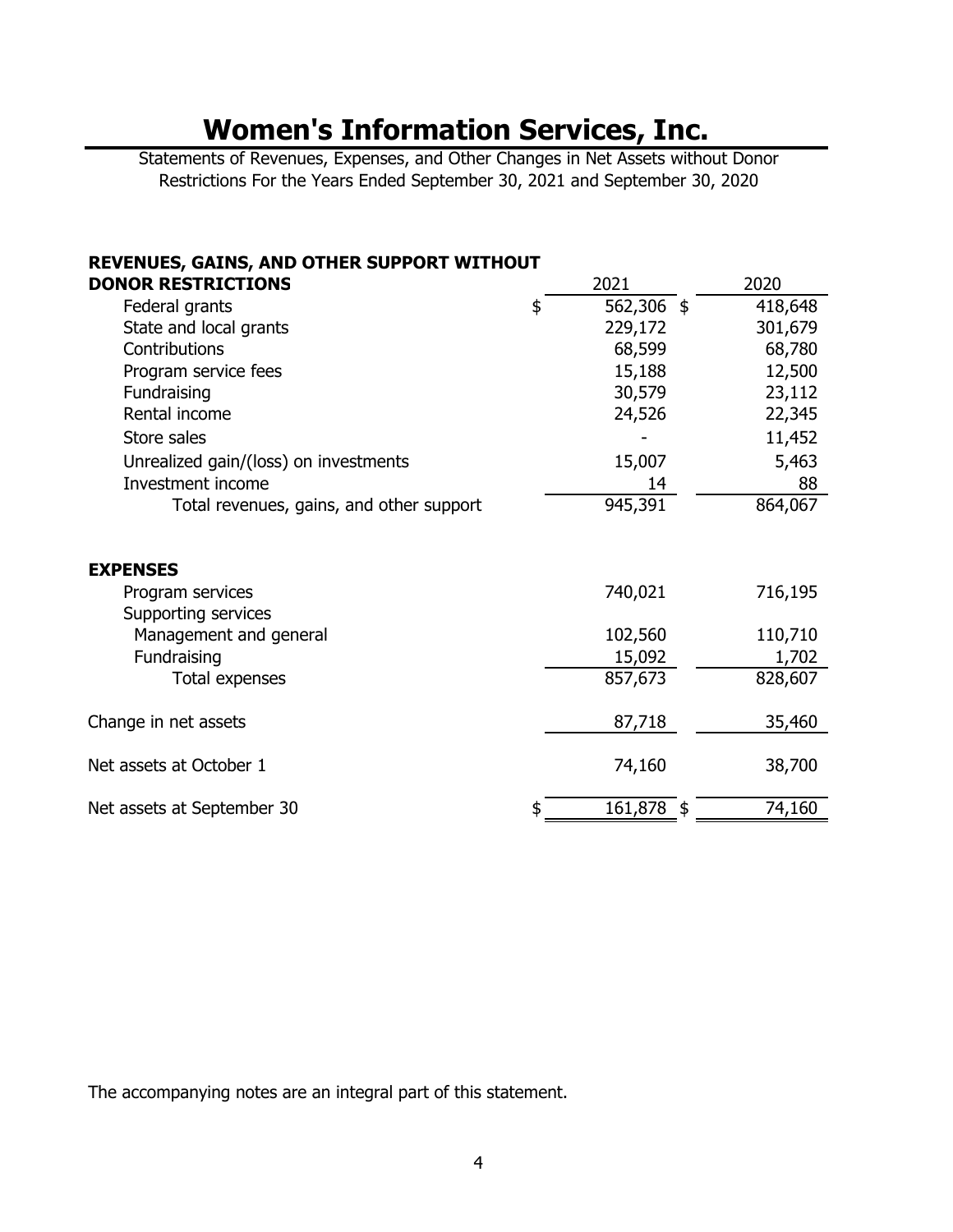Statements of Revenues, Expenses, and Other Changes in Net Assets without Donor Restrictions For the Years Ended September 30, 2021 and September 30, 2020

| <b>DONOR RESTRICTIONS</b><br>2021<br>2020<br>562,306 \$<br>418,648<br>Federal grants<br>\$<br>State and local grants<br>229,172<br>301,679<br>68,599<br>Contributions<br>68,780<br>Program service fees<br>15,188<br>12,500<br>30,579<br>23,112<br>Fundraising<br>Rental income<br>24,526<br>22,345<br>Store sales<br>11,452<br>Unrealized gain/(loss) on investments<br>15,007<br>5,463<br>Investment income<br>14<br>88<br>945,391<br>864,067<br>Total revenues, gains, and other support<br><b>EXPENSES</b><br>740,021<br>716,195<br>Program services<br>Supporting services<br>Management and general<br>102,560<br>110,710<br>Fundraising<br>15,092<br>1,702<br>857,673<br>828,607<br>Total expenses<br>Change in net assets<br>87,718<br>35,460<br>74,160<br>Net assets at October 1<br>38,700<br>161,878 \$<br>74,160<br>Net assets at September 30 | REVENUES, GAINS, AND OTHER SUPPORT WITHOUT |  |  |
|------------------------------------------------------------------------------------------------------------------------------------------------------------------------------------------------------------------------------------------------------------------------------------------------------------------------------------------------------------------------------------------------------------------------------------------------------------------------------------------------------------------------------------------------------------------------------------------------------------------------------------------------------------------------------------------------------------------------------------------------------------------------------------------------------------------------------------------------------------|--------------------------------------------|--|--|
|                                                                                                                                                                                                                                                                                                                                                                                                                                                                                                                                                                                                                                                                                                                                                                                                                                                            |                                            |  |  |
|                                                                                                                                                                                                                                                                                                                                                                                                                                                                                                                                                                                                                                                                                                                                                                                                                                                            |                                            |  |  |
|                                                                                                                                                                                                                                                                                                                                                                                                                                                                                                                                                                                                                                                                                                                                                                                                                                                            |                                            |  |  |
|                                                                                                                                                                                                                                                                                                                                                                                                                                                                                                                                                                                                                                                                                                                                                                                                                                                            |                                            |  |  |
|                                                                                                                                                                                                                                                                                                                                                                                                                                                                                                                                                                                                                                                                                                                                                                                                                                                            |                                            |  |  |
|                                                                                                                                                                                                                                                                                                                                                                                                                                                                                                                                                                                                                                                                                                                                                                                                                                                            |                                            |  |  |
|                                                                                                                                                                                                                                                                                                                                                                                                                                                                                                                                                                                                                                                                                                                                                                                                                                                            |                                            |  |  |
|                                                                                                                                                                                                                                                                                                                                                                                                                                                                                                                                                                                                                                                                                                                                                                                                                                                            |                                            |  |  |
|                                                                                                                                                                                                                                                                                                                                                                                                                                                                                                                                                                                                                                                                                                                                                                                                                                                            |                                            |  |  |
|                                                                                                                                                                                                                                                                                                                                                                                                                                                                                                                                                                                                                                                                                                                                                                                                                                                            |                                            |  |  |
|                                                                                                                                                                                                                                                                                                                                                                                                                                                                                                                                                                                                                                                                                                                                                                                                                                                            |                                            |  |  |
|                                                                                                                                                                                                                                                                                                                                                                                                                                                                                                                                                                                                                                                                                                                                                                                                                                                            |                                            |  |  |
|                                                                                                                                                                                                                                                                                                                                                                                                                                                                                                                                                                                                                                                                                                                                                                                                                                                            |                                            |  |  |
|                                                                                                                                                                                                                                                                                                                                                                                                                                                                                                                                                                                                                                                                                                                                                                                                                                                            |                                            |  |  |
|                                                                                                                                                                                                                                                                                                                                                                                                                                                                                                                                                                                                                                                                                                                                                                                                                                                            |                                            |  |  |
|                                                                                                                                                                                                                                                                                                                                                                                                                                                                                                                                                                                                                                                                                                                                                                                                                                                            |                                            |  |  |
|                                                                                                                                                                                                                                                                                                                                                                                                                                                                                                                                                                                                                                                                                                                                                                                                                                                            |                                            |  |  |
|                                                                                                                                                                                                                                                                                                                                                                                                                                                                                                                                                                                                                                                                                                                                                                                                                                                            |                                            |  |  |
|                                                                                                                                                                                                                                                                                                                                                                                                                                                                                                                                                                                                                                                                                                                                                                                                                                                            |                                            |  |  |
|                                                                                                                                                                                                                                                                                                                                                                                                                                                                                                                                                                                                                                                                                                                                                                                                                                                            |                                            |  |  |
|                                                                                                                                                                                                                                                                                                                                                                                                                                                                                                                                                                                                                                                                                                                                                                                                                                                            |                                            |  |  |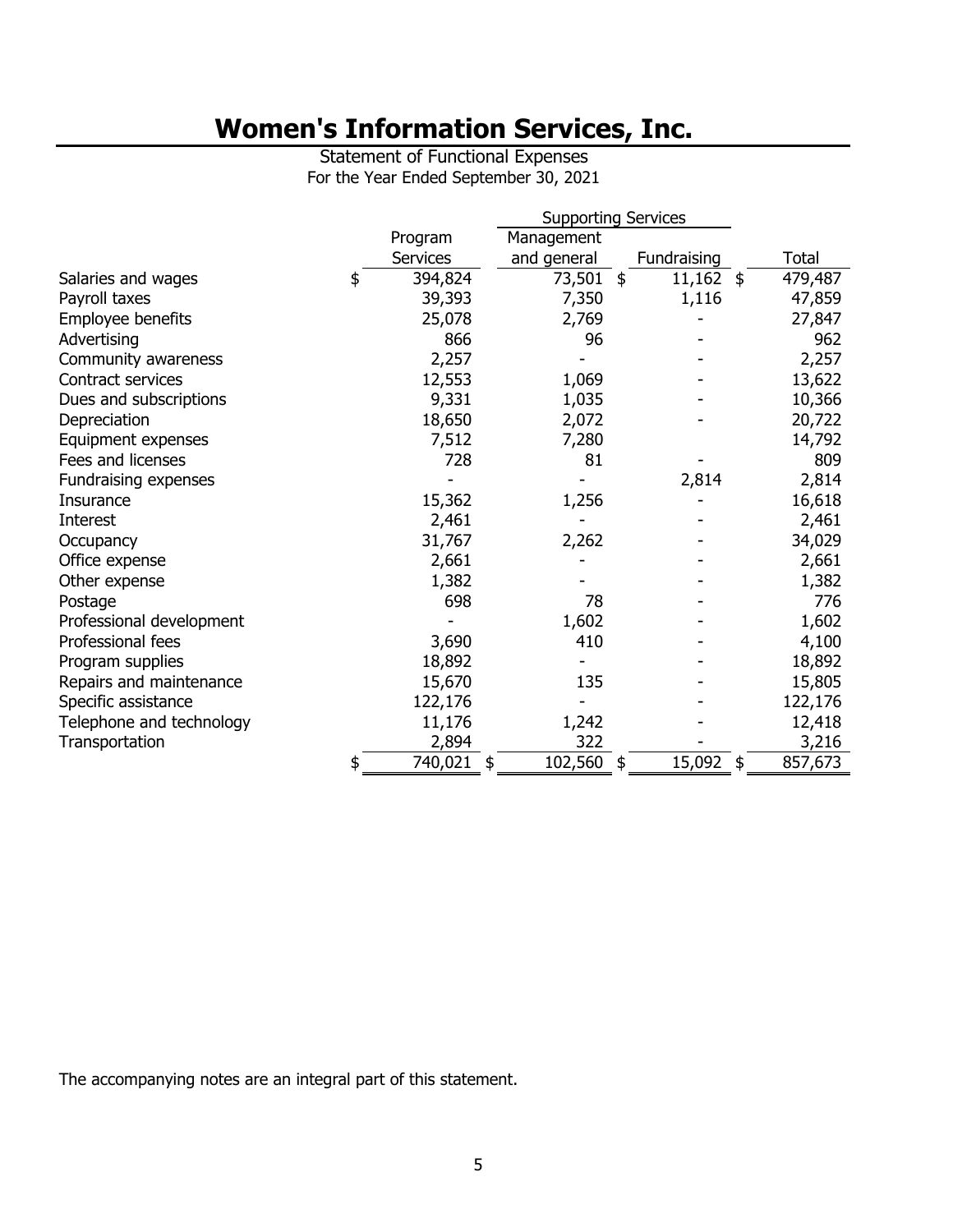Statement of Functional Expenses For the Year Ended September 30, 2021

|                          |                     | <b>Supporting Services</b> |                   |               |
|--------------------------|---------------------|----------------------------|-------------------|---------------|
|                          | Program             | Management                 |                   |               |
|                          | <b>Services</b>     | and general                | Fundraising       | Total         |
| Salaries and wages       | \$<br>394,824       | 73,501                     | $11,162$ \$<br>\$ | 479,487       |
| Payroll taxes            | 39,393              | 7,350                      | 1,116             | 47,859        |
| Employee benefits        | 25,078              | 2,769                      |                   | 27,847        |
| Advertising              | 866                 | 96                         |                   | 962           |
| Community awareness      | 2,257               |                            |                   | 2,257         |
| Contract services        | 12,553              | 1,069                      |                   | 13,622        |
| Dues and subscriptions   | 9,331               | 1,035                      |                   | 10,366        |
| Depreciation             | 18,650              | 2,072                      |                   | 20,722        |
| Equipment expenses       | 7,512               | 7,280                      |                   | 14,792        |
| Fees and licenses        | 728                 | 81                         |                   | 809           |
| Fundraising expenses     |                     |                            | 2,814             | 2,814         |
| <b>Insurance</b>         | 15,362              | 1,256                      |                   | 16,618        |
| Interest                 | 2,461               |                            |                   | 2,461         |
| Occupancy                | 31,767              | 2,262                      |                   | 34,029        |
| Office expense           | 2,661               |                            |                   | 2,661         |
| Other expense            | 1,382               |                            |                   | 1,382         |
| Postage                  | 698                 | 78                         |                   | 776           |
| Professional development |                     | 1,602                      |                   | 1,602         |
| Professional fees        | 3,690               | 410                        |                   | 4,100         |
| Program supplies         | 18,892              |                            |                   | 18,892        |
| Repairs and maintenance  | 15,670              | 135                        |                   | 15,805        |
| Specific assistance      | 122,176             |                            |                   | 122,176       |
| Telephone and technology | 11,176              | 1,242                      |                   | 12,418        |
| Transportation           | 2,894               | 322                        |                   | 3,216         |
|                          | \$<br>740,021<br>\$ | 102,560                    | 15,092<br>\$      | 857,673<br>\$ |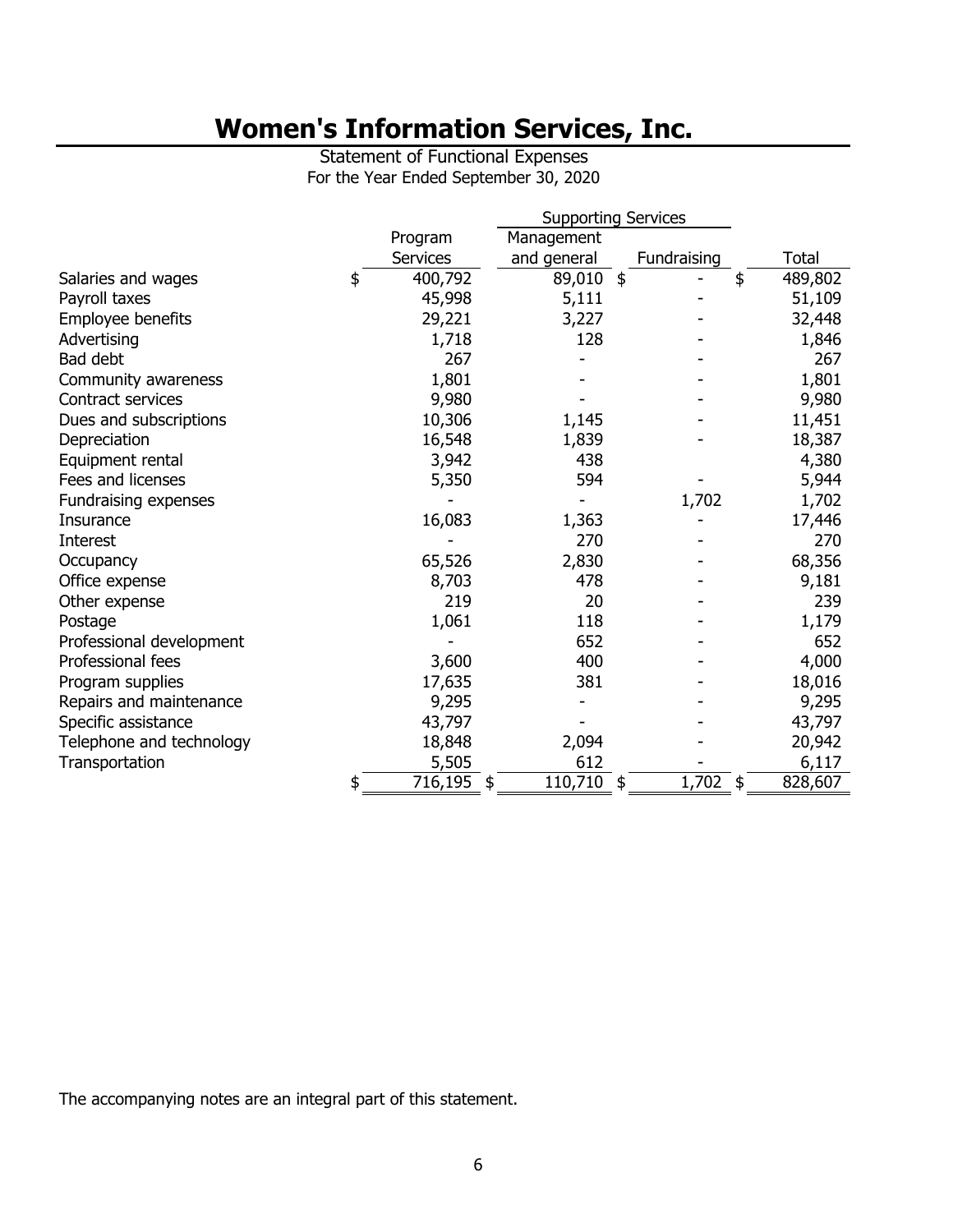Statement of Functional Expenses For the Year Ended September 30, 2020

|                          |                     |             | <b>Supporting Services</b> |               |
|--------------------------|---------------------|-------------|----------------------------|---------------|
|                          | Program             | Management  |                            |               |
|                          | <b>Services</b>     | and general | Fundraising                | Total         |
| Salaries and wages       | \$<br>400,792       | 89,010      | $\frac{1}{2}$              | 489,802<br>\$ |
| Payroll taxes            | 45,998              | 5,111       |                            | 51,109        |
| Employee benefits        | 29,221              | 3,227       |                            | 32,448        |
| Advertising              | 1,718               | 128         |                            | 1,846         |
| Bad debt                 | 267                 |             |                            | 267           |
| Community awareness      | 1,801               |             |                            | 1,801         |
| Contract services        | 9,980               |             |                            | 9,980         |
| Dues and subscriptions   | 10,306              | 1,145       |                            | 11,451        |
| Depreciation             | 16,548              | 1,839       |                            | 18,387        |
| Equipment rental         | 3,942               | 438         |                            | 4,380         |
| Fees and licenses        | 5,350               | 594         |                            | 5,944         |
| Fundraising expenses     |                     |             | 1,702                      | 1,702         |
| Insurance                | 16,083              | 1,363       |                            | 17,446        |
| Interest                 |                     | 270         |                            | 270           |
| Occupancy                | 65,526              | 2,830       |                            | 68,356        |
| Office expense           | 8,703               | 478         |                            | 9,181         |
| Other expense            | 219                 | 20          |                            | 239           |
| Postage                  | 1,061               | 118         |                            | 1,179         |
| Professional development |                     | 652         |                            | 652           |
| Professional fees        | 3,600               | 400         |                            | 4,000         |
| Program supplies         | 17,635              | 381         |                            | 18,016        |
| Repairs and maintenance  | 9,295               |             |                            | 9,295         |
| Specific assistance      | 43,797              |             |                            | 43,797        |
| Telephone and technology | 18,848              | 2,094       |                            | 20,942        |
| Transportation           | 5,505               | 612         |                            | 6,117         |
|                          | \$<br>716,195<br>\$ | 110,710     | 1,702<br>\$                | 828,607<br>\$ |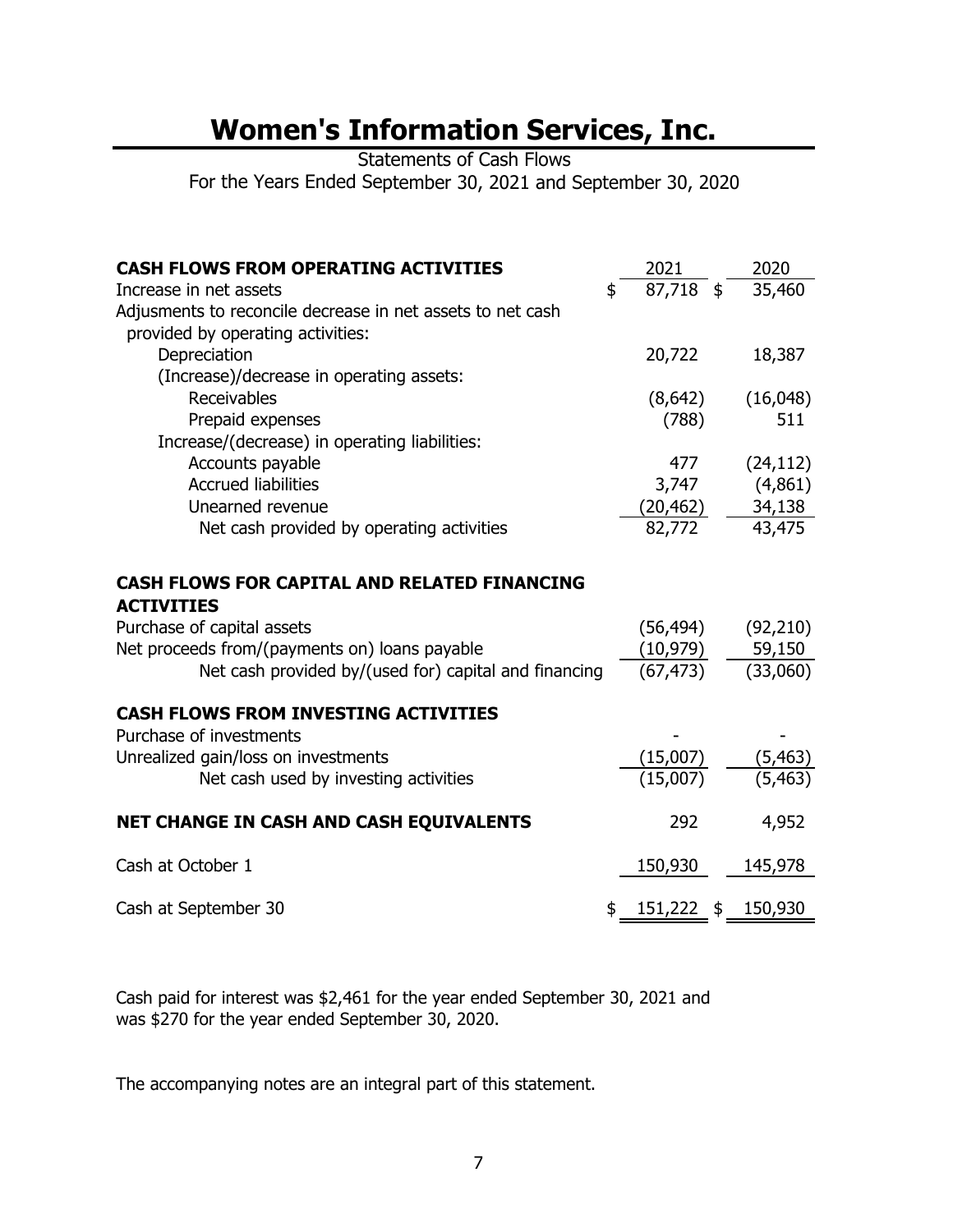Statements of Cash Flows

For the Years Ended September 30, 2021 and September 30, 2020

| <b>CASH FLOWS FROM OPERATING ACTIVITIES</b>                | 2021                                                  | 2020      |
|------------------------------------------------------------|-------------------------------------------------------|-----------|
| Increase in net assets                                     | $\overline{87,718}$ \$                                | 35,460    |
| Adjusments to reconcile decrease in net assets to net cash |                                                       |           |
| provided by operating activities:                          |                                                       |           |
| Depreciation                                               | 20,722                                                | 18,387    |
| (Increase)/decrease in operating assets:                   |                                                       |           |
| Receivables                                                | (8,642)                                               | (16,048)  |
| Prepaid expenses                                           | (788)                                                 | 511       |
| Increase/(decrease) in operating liabilities:              |                                                       |           |
| Accounts payable                                           | 477                                                   | (24, 112) |
| <b>Accrued liabilities</b>                                 | 3,747                                                 | (4,861)   |
| Unearned revenue                                           | $\frac{(20, 462)}{82, 772}$                           | 34,138    |
| Net cash provided by operating activities                  |                                                       | 43,475    |
|                                                            |                                                       |           |
| CASH FLOWS FOR CAPITAL AND RELATED FINANCING               |                                                       |           |
| <b>ACTIVITIES</b>                                          |                                                       |           |
| Purchase of capital assets                                 | (56, 494)                                             | (92, 210) |
| Net proceeds from/(payments on) loans payable              |                                                       |           |
| Net cash provided by/(used for) capital and financing      | $\frac{(10,979)}{(67,473)}$ $\frac{59,150}{(33,060)}$ |           |
|                                                            |                                                       |           |
| <b>CASH FLOWS FROM INVESTING ACTIVITIES</b>                |                                                       |           |
| Purchase of investments                                    |                                                       |           |
| Unrealized gain/loss on investments                        | (15,007)                                              | (5, 463)  |
| Net cash used by investing activities                      | (15,007)                                              |           |
|                                                            |                                                       |           |
| NET CHANGE IN CASH AND CASH EQUIVALENTS                    | 292                                                   | 4,952     |
| Cash at October 1                                          | 150,930                                               | 145,978   |
| Cash at September 30                                       | 151,222 \$<br>\$                                      | 150,930   |

Cash paid for interest was \$2,461 for the year ended September 30, 2021 and was \$270 for the year ended September 30, 2020.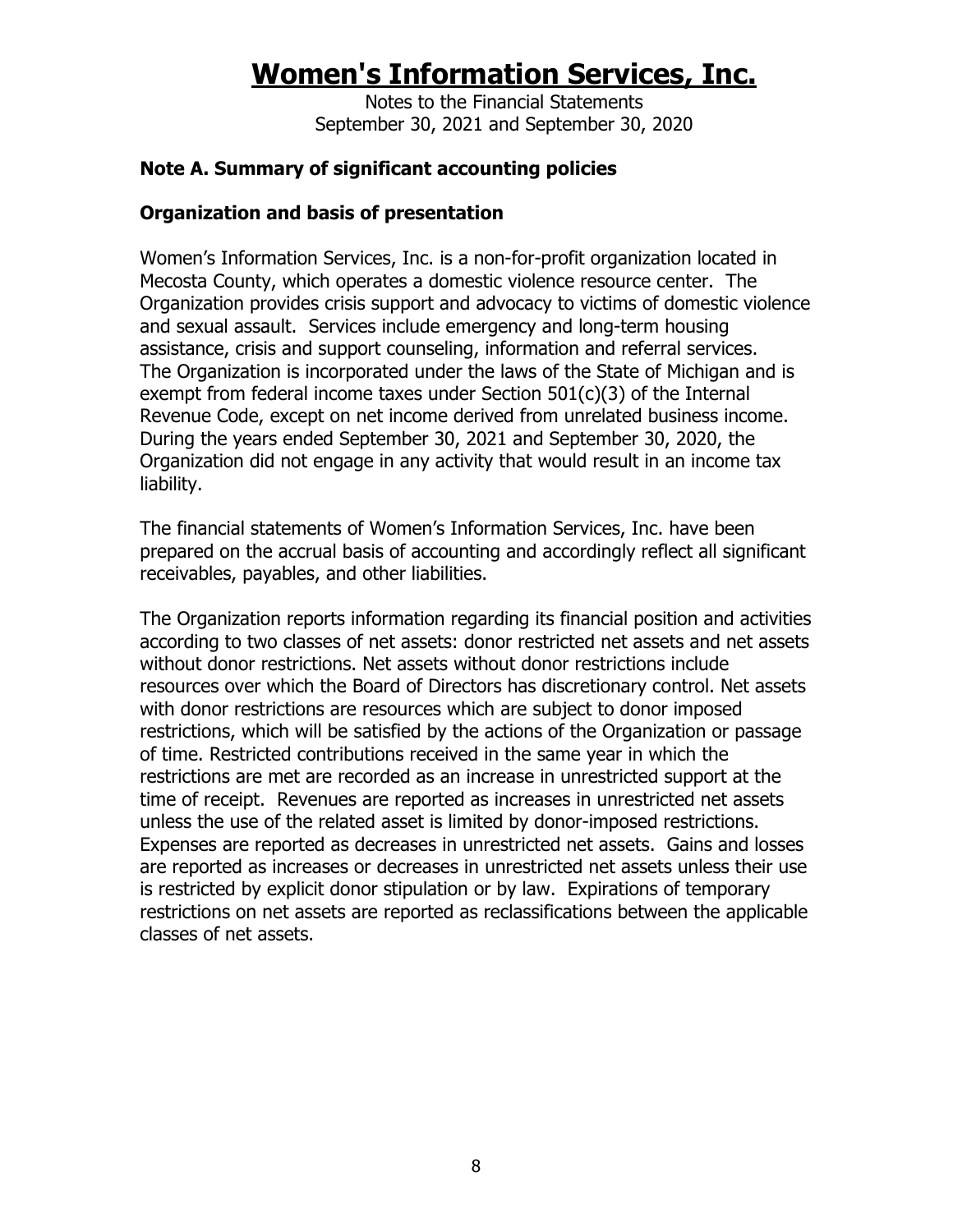Notes to the Financial Statements September 30, 2021 and September 30, 2020

#### **Note A. Summary of significant accounting policies**

#### **Organization and basis of presentation**

Women's Information Services, Inc. is a non-for-profit organization located in Mecosta County, which operates a domestic violence resource center. The Organization provides crisis support and advocacy to victims of domestic violence and sexual assault. Services include emergency and long-term housing assistance, crisis and support counseling, information and referral services. The Organization is incorporated under the laws of the State of Michigan and is exempt from federal income taxes under Section 501(c)(3) of the Internal Revenue Code, except on net income derived from unrelated business income. During the years ended September 30, 2021 and September 30, 2020, the Organization did not engage in any activity that would result in an income tax liability.

The financial statements of Women's Information Services, Inc. have been prepared on the accrual basis of accounting and accordingly reflect all significant receivables, payables, and other liabilities.

The Organization reports information regarding its financial position and activities according to two classes of net assets: donor restricted net assets and net assets without donor restrictions. Net assets without donor restrictions include resources over which the Board of Directors has discretionary control. Net assets with donor restrictions are resources which are subject to donor imposed restrictions, which will be satisfied by the actions of the Organization or passage of time. Restricted contributions received in the same year in which the restrictions are met are recorded as an increase in unrestricted support at the time of receipt. Revenues are reported as increases in unrestricted net assets unless the use of the related asset is limited by donor-imposed restrictions. Expenses are reported as decreases in unrestricted net assets. Gains and losses are reported as increases or decreases in unrestricted net assets unless their use is restricted by explicit donor stipulation or by law. Expirations of temporary restrictions on net assets are reported as reclassifications between the applicable classes of net assets.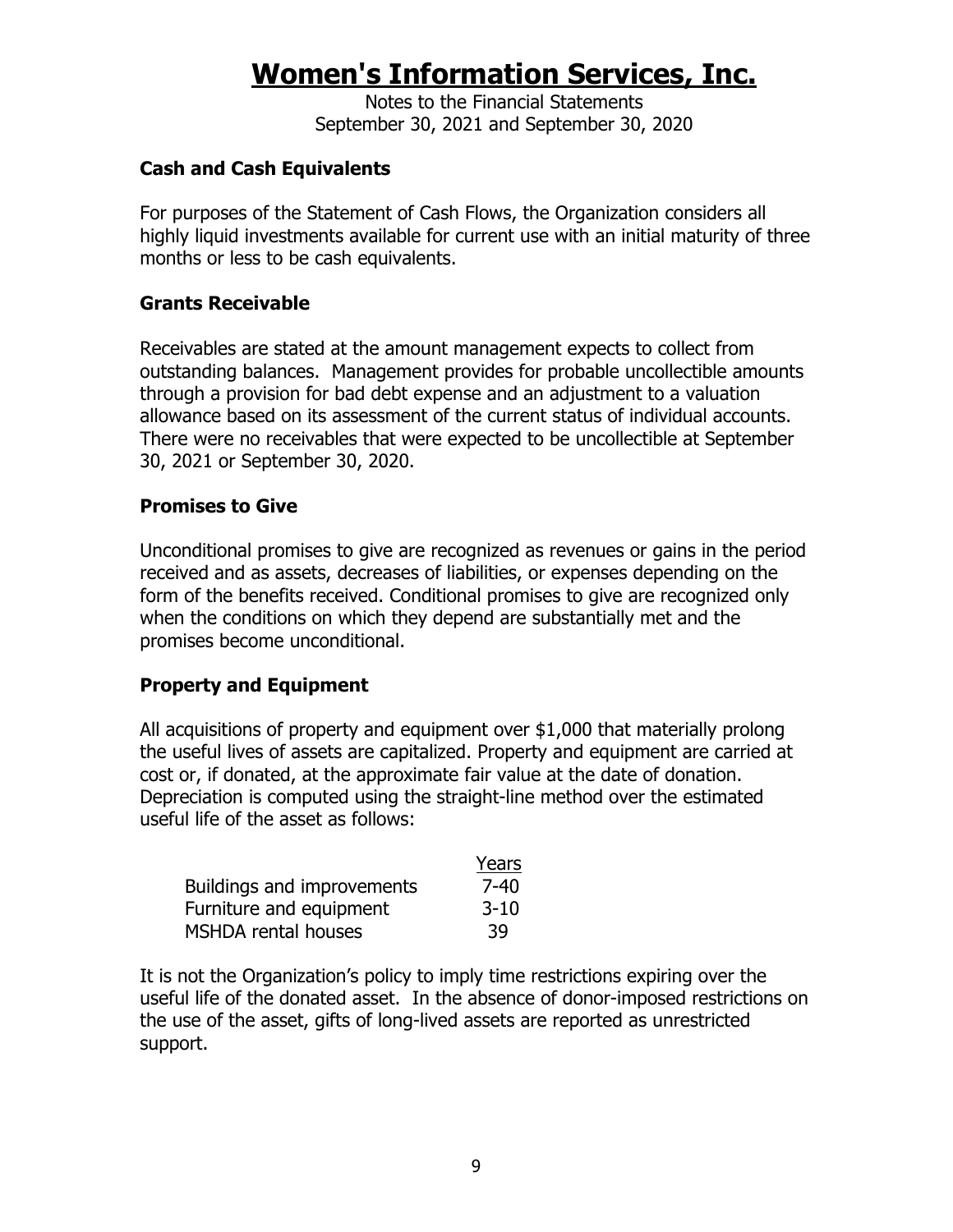Notes to the Financial Statements September 30, 2021 and September 30, 2020

#### **Cash and Cash Equivalents**

For purposes of the Statement of Cash Flows, the Organization considers all highly liquid investments available for current use with an initial maturity of three months or less to be cash equivalents.

#### **Grants Receivable**

Receivables are stated at the amount management expects to collect from outstanding balances. Management provides for probable uncollectible amounts through a provision for bad debt expense and an adjustment to a valuation allowance based on its assessment of the current status of individual accounts. There were no receivables that were expected to be uncollectible at September 30, 2021 or September 30, 2020.

#### **Promises to Give**

Unconditional promises to give are recognized as revenues or gains in the period received and as assets, decreases of liabilities, or expenses depending on the form of the benefits received. Conditional promises to give are recognized only when the conditions on which they depend are substantially met and the promises become unconditional.

### **Property and Equipment**

All acquisitions of property and equipment over \$1,000 that materially prolong the useful lives of assets are capitalized. Property and equipment are carried at cost or, if donated, at the approximate fair value at the date of donation. Depreciation is computed using the straight-line method over the estimated useful life of the asset as follows:

|                            | Years    |
|----------------------------|----------|
| Buildings and improvements | $7 - 40$ |
| Furniture and equipment    | $3 - 10$ |
| MSHDA rental houses        | 39       |

It is not the Organization's policy to imply time restrictions expiring over the useful life of the donated asset. In the absence of donor-imposed restrictions on the use of the asset, gifts of long-lived assets are reported as unrestricted support.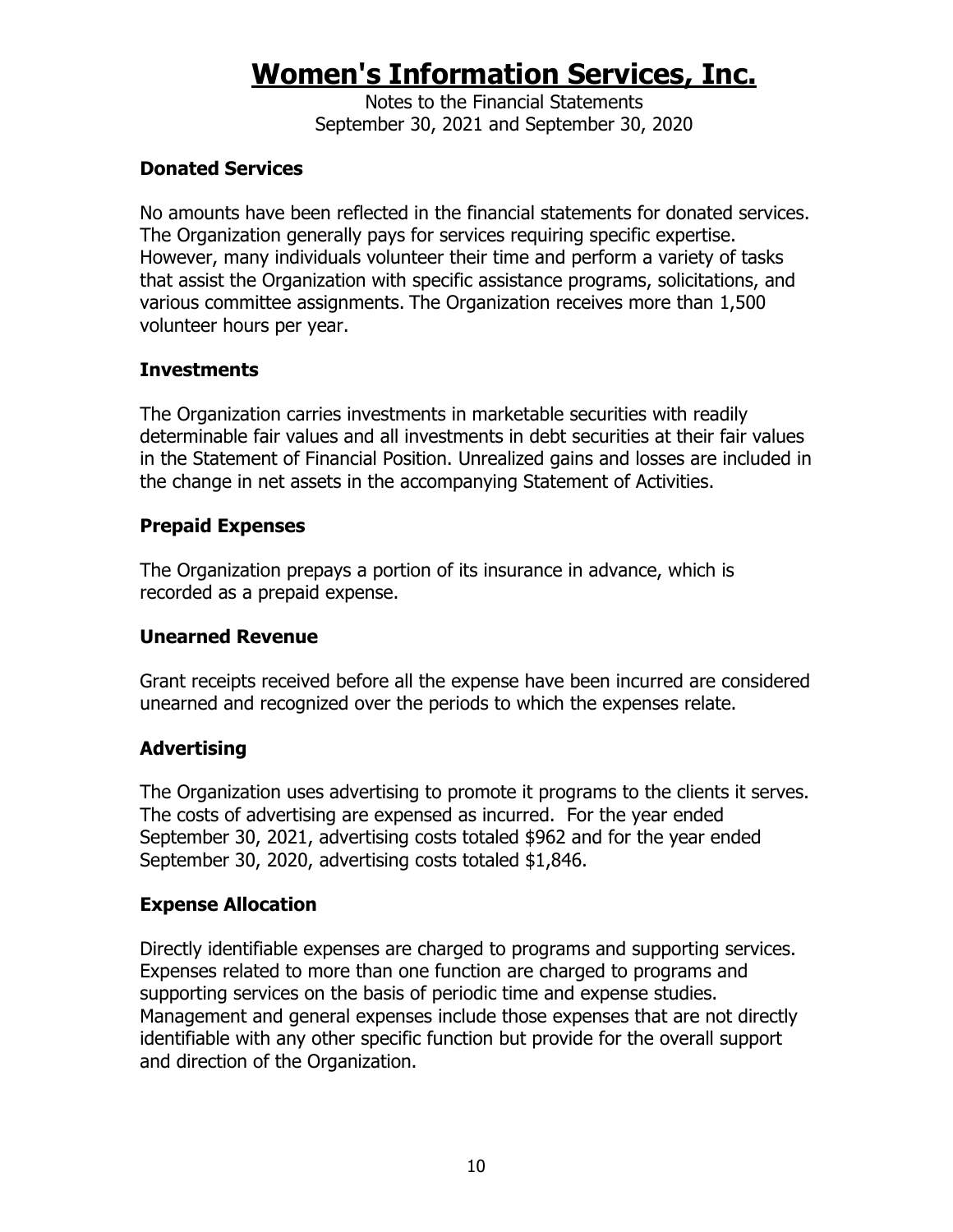Notes to the Financial Statements September 30, 2021 and September 30, 2020

#### **Donated Services**

No amounts have been reflected in the financial statements for donated services. The Organization generally pays for services requiring specific expertise. However, many individuals volunteer their time and perform a variety of tasks that assist the Organization with specific assistance programs, solicitations, and various committee assignments. The Organization receives more than 1,500 volunteer hours per year.

#### **Investments**

The Organization carries investments in marketable securities with readily determinable fair values and all investments in debt securities at their fair values in the Statement of Financial Position. Unrealized gains and losses are included in the change in net assets in the accompanying Statement of Activities.

#### **Prepaid Expenses**

The Organization prepays a portion of its insurance in advance, which is recorded as a prepaid expense.

#### **Unearned Revenue**

Grant receipts received before all the expense have been incurred are considered unearned and recognized over the periods to which the expenses relate.

### **Advertising**

The Organization uses advertising to promote it programs to the clients it serves. The costs of advertising are expensed as incurred. For the year ended September 30, 2021, advertising costs totaled \$962 and for the year ended September 30, 2020, advertising costs totaled \$1,846.

#### **Expense Allocation**

Directly identifiable expenses are charged to programs and supporting services. Expenses related to more than one function are charged to programs and supporting services on the basis of periodic time and expense studies. Management and general expenses include those expenses that are not directly identifiable with any other specific function but provide for the overall support and direction of the Organization.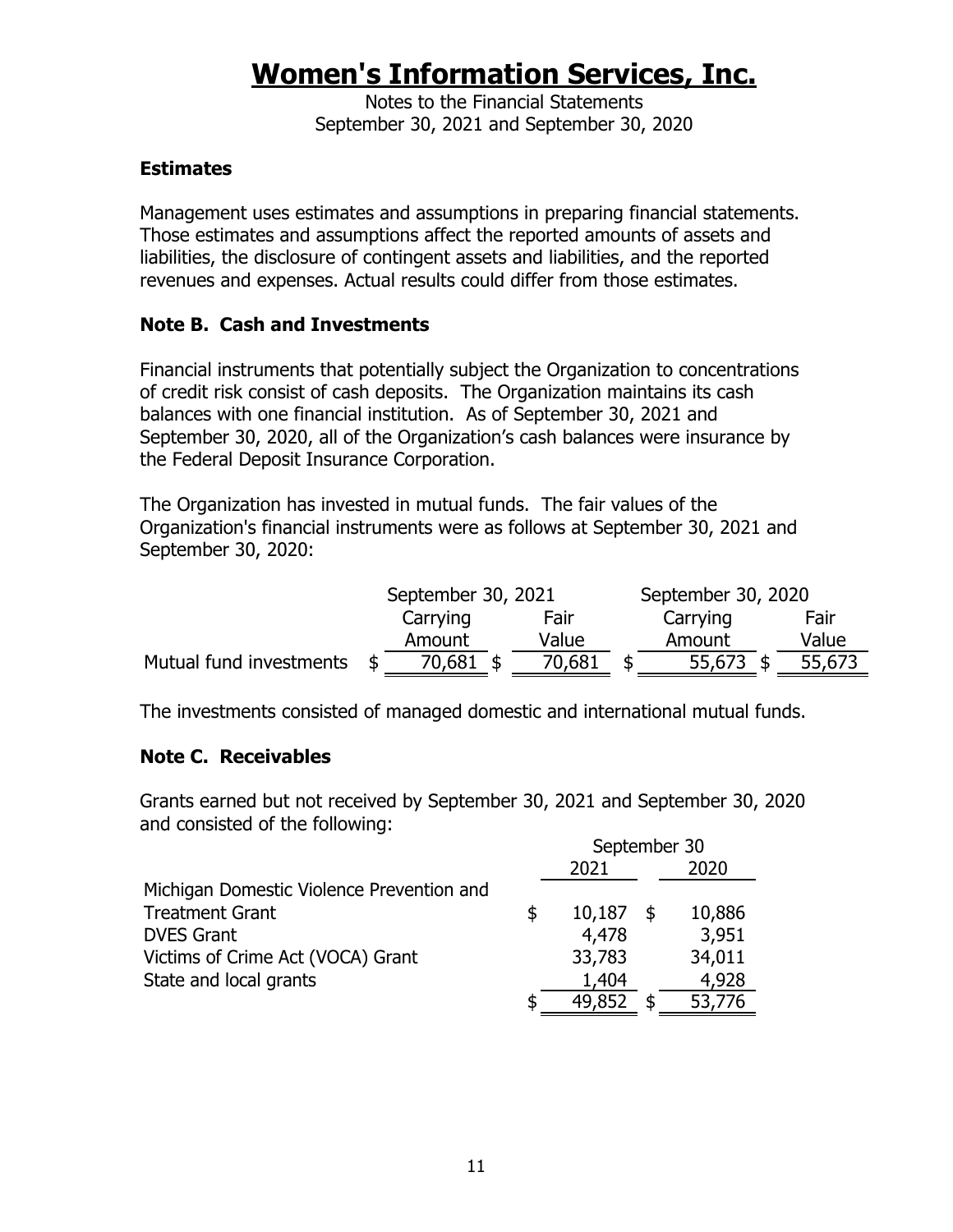Notes to the Financial Statements September 30, 2021 and September 30, 2020

#### **Estimates**

Management uses estimates and assumptions in preparing financial statements. Those estimates and assumptions affect the reported amounts of assets and liabilities, the disclosure of contingent assets and liabilities, and the reported revenues and expenses. Actual results could differ from those estimates.

#### **Note B. Cash and Investments**

Financial instruments that potentially subject the Organization to concentrations of credit risk consist of cash deposits. The Organization maintains its cash balances with one financial institution. As of September 30, 2021 and September 30, 2020, all of the Organization's cash balances were insurance by the Federal Deposit Insurance Corporation.

The Organization has invested in mutual funds. The fair values of the Organization's financial instruments were as follows at September 30, 2021 and September 30, 2020:

|                         | September 30, 2021 |        |  | September 30, 2020 |        |  |
|-------------------------|--------------------|--------|--|--------------------|--------|--|
|                         | Carrying           | Fair   |  | Carrying           | Fair   |  |
|                         | Amount             | Value  |  | Amount             | Value  |  |
| Mutual fund investments | 70,681             | 70,681 |  | 55,673             | 55,673 |  |

The investments consisted of managed domestic and international mutual funds.

### **Note C. Receivables**

Grants earned but not received by September 30, 2021 and September 30, 2020 and consisted of the following:

|                                           | September 30 |        |      |        |
|-------------------------------------------|--------------|--------|------|--------|
|                                           |              | 2021   |      | 2020   |
| Michigan Domestic Violence Prevention and |              |        |      |        |
| <b>Treatment Grant</b>                    |              | 10,187 | - \$ | 10,886 |
| <b>DVES Grant</b>                         |              | 4,478  |      | 3,951  |
| Victims of Crime Act (VOCA) Grant         |              | 33,783 |      | 34,011 |
| State and local grants                    |              | 1,404  |      | 4,928  |
|                                           |              |        |      | 53,776 |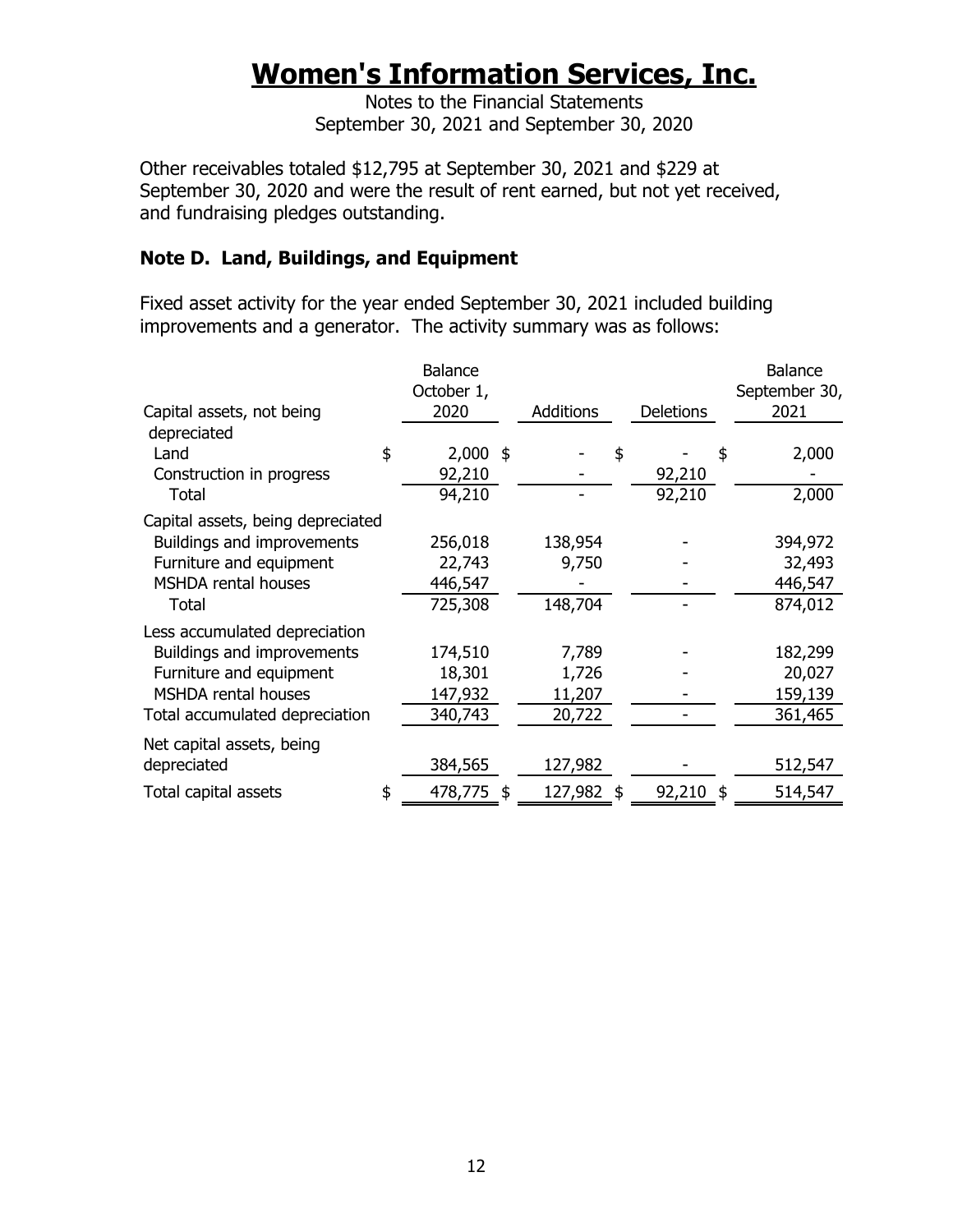Notes to the Financial Statements September 30, 2021 and September 30, 2020

Other receivables totaled \$12,795 at September 30, 2021 and \$229 at September 30, 2020 and were the result of rent earned, but not yet received, and fundraising pledges outstanding.

#### **Note D. Land, Buildings, and Equipment**

Fixed asset activity for the year ended September 30, 2021 included building improvements and a generator. The activity summary was as follows:

|                                   | <b>Balance</b>   |                  |                  | Balance       |
|-----------------------------------|------------------|------------------|------------------|---------------|
|                                   | October 1,       |                  |                  | September 30, |
| Capital assets, not being         | 2020             | <b>Additions</b> | <b>Deletions</b> | 2021          |
| depreciated                       |                  |                  |                  |               |
| Land                              | \$<br>$2,000$ \$ |                  | \$               | \$<br>2,000   |
| Construction in progress          | 92,210           |                  | 92,210           |               |
| Total                             | 94,210           |                  | 92,210           | 2,000         |
| Capital assets, being depreciated |                  |                  |                  |               |
| Buildings and improvements        | 256,018          | 138,954          |                  | 394,972       |
| Furniture and equipment           | 22,743           | 9,750            |                  | 32,493        |
| <b>MSHDA rental houses</b>        | 446,547          |                  |                  | 446,547       |
| Total                             | 725,308          | 148,704          |                  | 874,012       |
| Less accumulated depreciation     |                  |                  |                  |               |
| Buildings and improvements        | 174,510          | 7,789            |                  | 182,299       |
| Furniture and equipment           | 18,301           | 1,726            |                  | 20,027        |
| <b>MSHDA rental houses</b>        | 147,932          | 11,207           |                  | 159,139       |
| Total accumulated depreciation    | 340,743          | 20,722           |                  | 361,465       |
| Net capital assets, being         |                  |                  |                  |               |
| depreciated                       | 384,565          | 127,982          |                  | 512,547       |
| Total capital assets              | \$<br>478,775 \$ | 127,982 \$       | 92,210 \$        | 514,547       |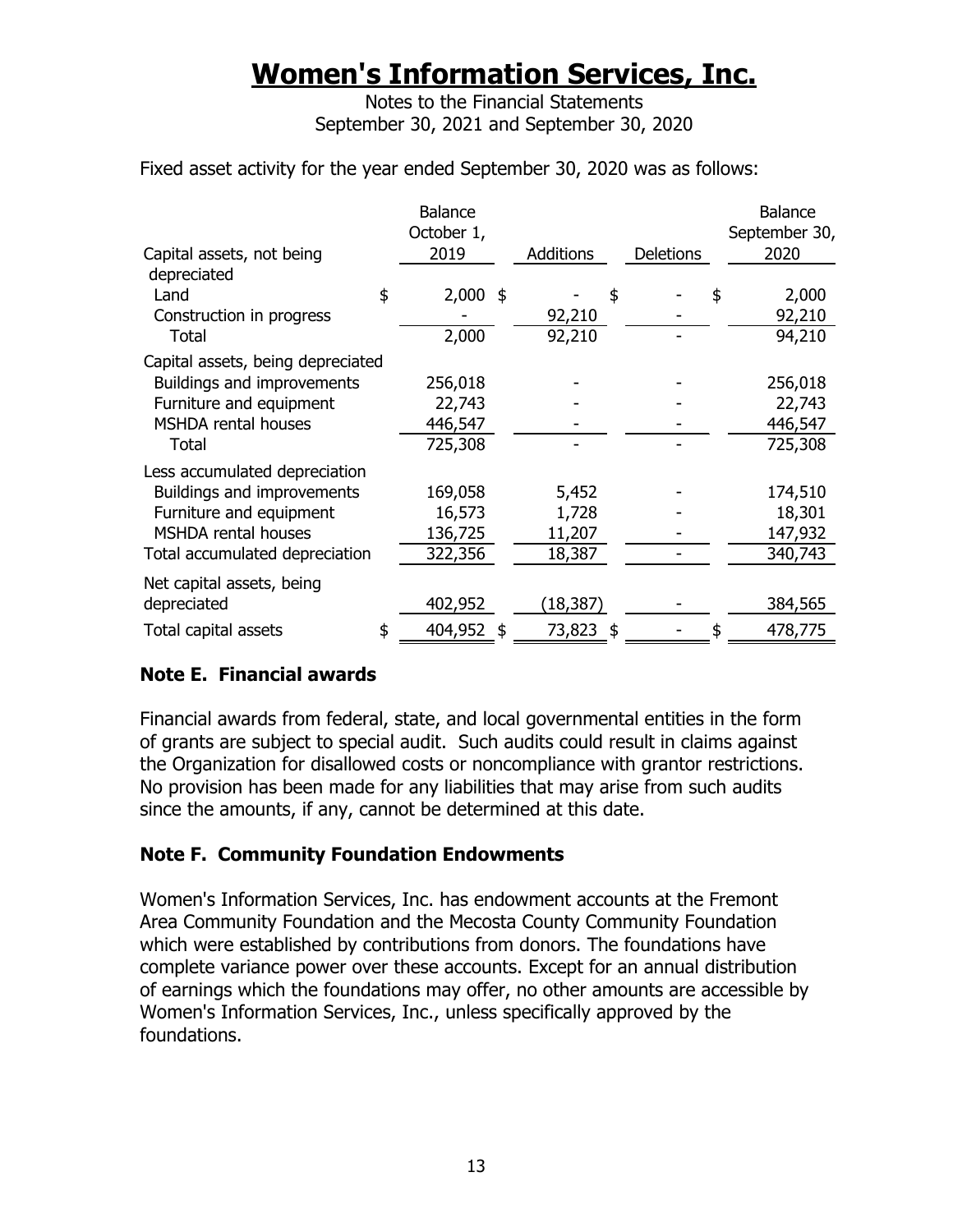Notes to the Financial Statements September 30, 2021 and September 30, 2020

Fixed asset activity for the year ended September 30, 2020 was as follows:

|                                   | <b>Balance</b>      |                  |                  | <b>Balance</b> |
|-----------------------------------|---------------------|------------------|------------------|----------------|
|                                   | October 1,          |                  |                  | September 30,  |
| Capital assets, not being         | 2019                | <b>Additions</b> | <b>Deletions</b> | 2020           |
| depreciated                       |                     |                  |                  |                |
| Land                              | \$<br>$2,000$ \$    | \$               |                  | \$<br>2,000    |
| Construction in progress          |                     | 92,210           |                  | 92,210         |
| Total                             | 2,000               | 92,210           |                  | 94,210         |
| Capital assets, being depreciated |                     |                  |                  |                |
| Buildings and improvements        | 256,018             |                  |                  | 256,018        |
| Furniture and equipment           | 22,743              |                  |                  | 22,743         |
| MSHDA rental houses               | 446,547             |                  |                  | 446,547        |
| Total                             | 725,308             |                  |                  | 725,308        |
| Less accumulated depreciation     |                     |                  |                  |                |
| Buildings and improvements        | 169,058             | 5,452            |                  | 174,510        |
| Furniture and equipment           | 16,573              | 1,728            |                  | 18,301         |
| <b>MSHDA rental houses</b>        | 136,725             | 11,207           |                  | 147,932        |
| Total accumulated depreciation    | 322,356             | 18,387           |                  | 340,743        |
| Net capital assets, being         |                     |                  |                  |                |
| depreciated                       | 402,952             | (18,387)         |                  | 384,565        |
| Total capital assets              | \$<br>404,952<br>\$ | 73,823 \$        |                  | \$<br>478,775  |

### **Note E. Financial awards**

Financial awards from federal, state, and local governmental entities in the form of grants are subject to special audit. Such audits could result in claims against the Organization for disallowed costs or noncompliance with grantor restrictions. No provision has been made for any liabilities that may arise from such audits since the amounts, if any, cannot be determined at this date.

### **Note F. Community Foundation Endowments**

Women's Information Services, Inc. has endowment accounts at the Fremont Area Community Foundation and the Mecosta County Community Foundation which were established by contributions from donors. The foundations have complete variance power over these accounts. Except for an annual distribution of earnings which the foundations may offer, no other amounts are accessible by Women's Information Services, Inc., unless specifically approved by the foundations.